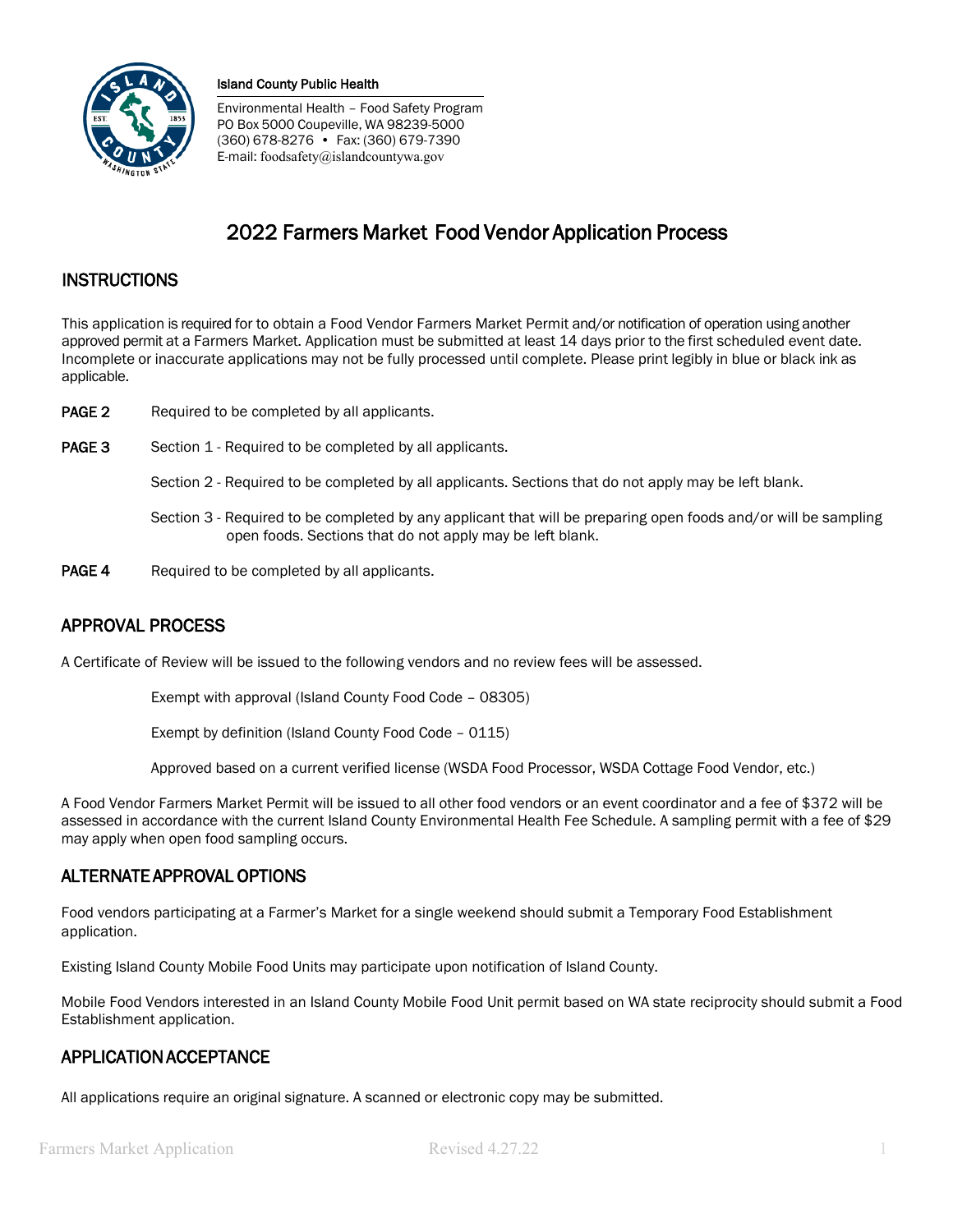

Environmental Health – Food Safety Program PO Box 5000 Coupeville, WA 98239-5000 (360) 678-8276 • Fax: (360) 679-7390 E-mail: foodsafety@islandcountywa.gov

# 2022 Farmers Market Food Vendor Application Process

# **INSTRUCTIONS**

This application is required for to obtain a Food Vendor Farmers Market Permit and/or notification of operation using another approved permit at a Farmers Market. Application must be submitted at least 14 days prior to the first scheduled event date. Incomplete or inaccurate applications may not be fully processed until complete. Please print legibly in blue or black ink as applicable.

- **PAGE 2** Required to be completed by all applicants.
- PAGE 3 Section 1 Required to be completed by all applicants.

Section 2 - Required to be completed by all applicants. Sections that do not apply may be left blank.

- Section 3 Required to be completed by any applicant that will be preparing open foods and/or will be sampling open foods. Sections that do not apply may be left blank.
- **PAGE 4** Required to be completed by all applicants.

# APPROVAL PROCESS

A Certificate of Review will be issued to the following vendors and no review fees will be assessed.

Exempt with approval (Island County Food Code – 08305)

Exempt by definition (Island County Food Code – 0115)

Approved based on a current verified license (WSDA Food Processor, WSDA Cottage Food Vendor, etc.)

A Food Vendor Farmers Market Permit will be issued to all other food vendors or an event coordinator and a fee of \$372 will be assessed in accordance with the current Island County Environmental Health Fee Schedule. A sampling permit with a fee of \$29 may apply when open food sampling occurs.

# ALTERNATE APPROVAL OPTIONS

Food vendors participating at a Farmer's Market for a single weekend should submit a Temporary Food Establishment application.

Existing Island County Mobile Food Units may participate upon notification of Island County.

Mobile Food Vendors interested in an Island County Mobile Food Unit permit based on WA state reciprocity should submit a Food Establishment application.

# APPLICATION ACCEPTANCE

All applications require an original signature. A scanned or electronic copy may be submitted.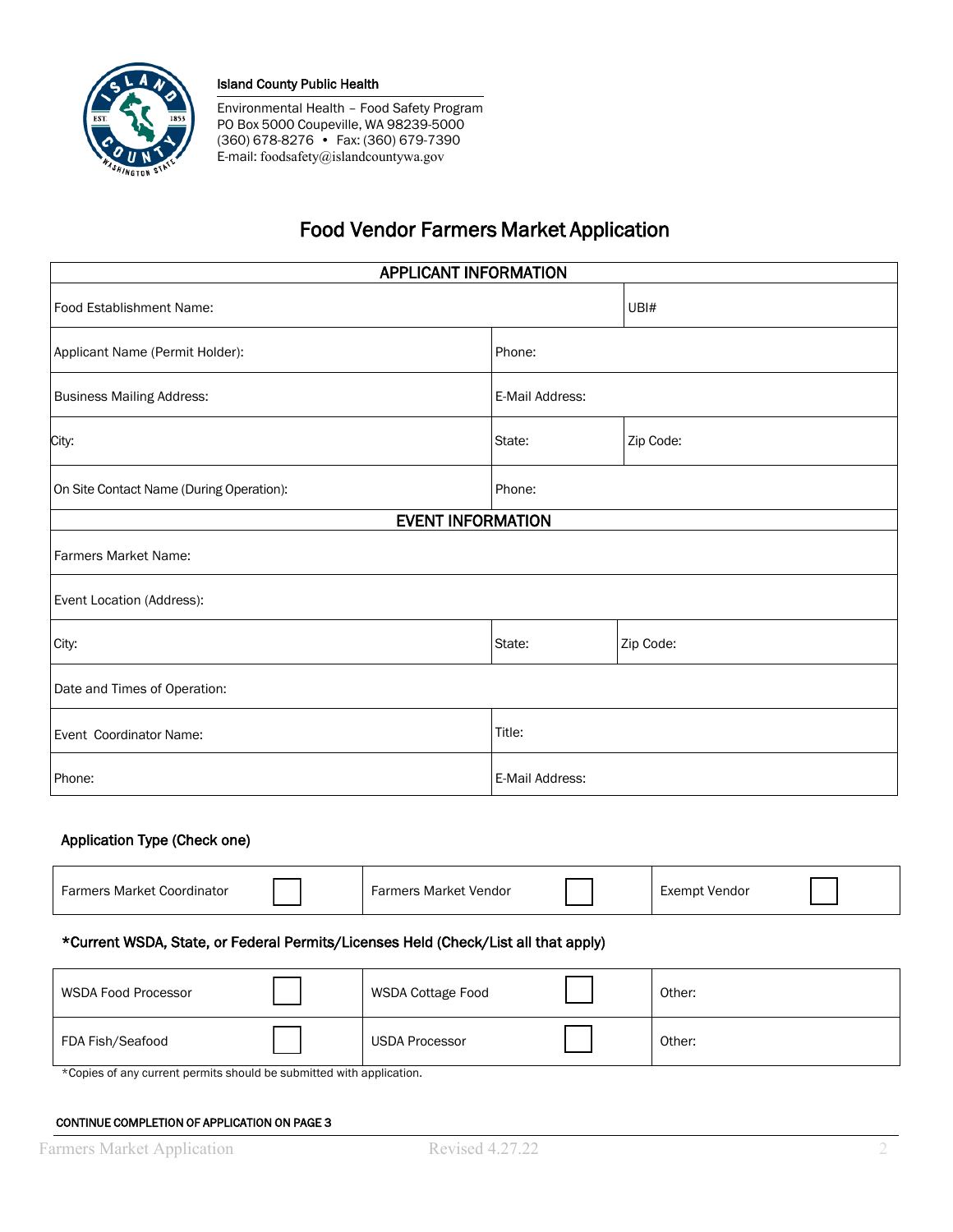

Environmental Health – Food Safety Program PO Box 5000 Coupeville, WA 98239-5000 (360) 678-8276 • Fax: (360) 679-7390 E-mail: foodsafety@islandcountywa.gov

# Food Vendor Farmers Market Application

| <b>APPLICANT INFORMATION</b>             |                 |           |  |  |
|------------------------------------------|-----------------|-----------|--|--|
| Food Establishment Name:                 |                 | UBI#      |  |  |
| Applicant Name (Permit Holder):          | Phone:          |           |  |  |
| <b>Business Mailing Address:</b>         | E-Mail Address: |           |  |  |
| City:                                    | State:          | Zip Code: |  |  |
| On Site Contact Name (During Operation): | Phone:          |           |  |  |
| <b>EVENT INFORMATION</b>                 |                 |           |  |  |
| Farmers Market Name:                     |                 |           |  |  |
| Event Location (Address):                |                 |           |  |  |
| City:                                    | State:          | Zip Code: |  |  |
| Date and Times of Operation:             |                 |           |  |  |
| Event Coordinator Name:                  | Title:          |           |  |  |
| Phone:<br>E-Mail Address:                |                 |           |  |  |

## Application Type (Check one)

| rs Market Coordinator<br>Farmers | : Market Vendor<br>armers - |  | Exempt Vendor |  |
|----------------------------------|-----------------------------|--|---------------|--|
|----------------------------------|-----------------------------|--|---------------|--|

## \*Current WSDA, State, or Federal Permits/Licenses Held (Check/List all that apply)

| <b>WSDA Food Processor</b> | WSDA Cottage Food | Other: |
|----------------------------|-------------------|--------|
| FDA Fish/Seafood           | USDA Processor    | Other: |

\*Copies of any current permits should be submitted with application.

#### CONTINUE COMPLETION OF APPLICATION ON PAGE 3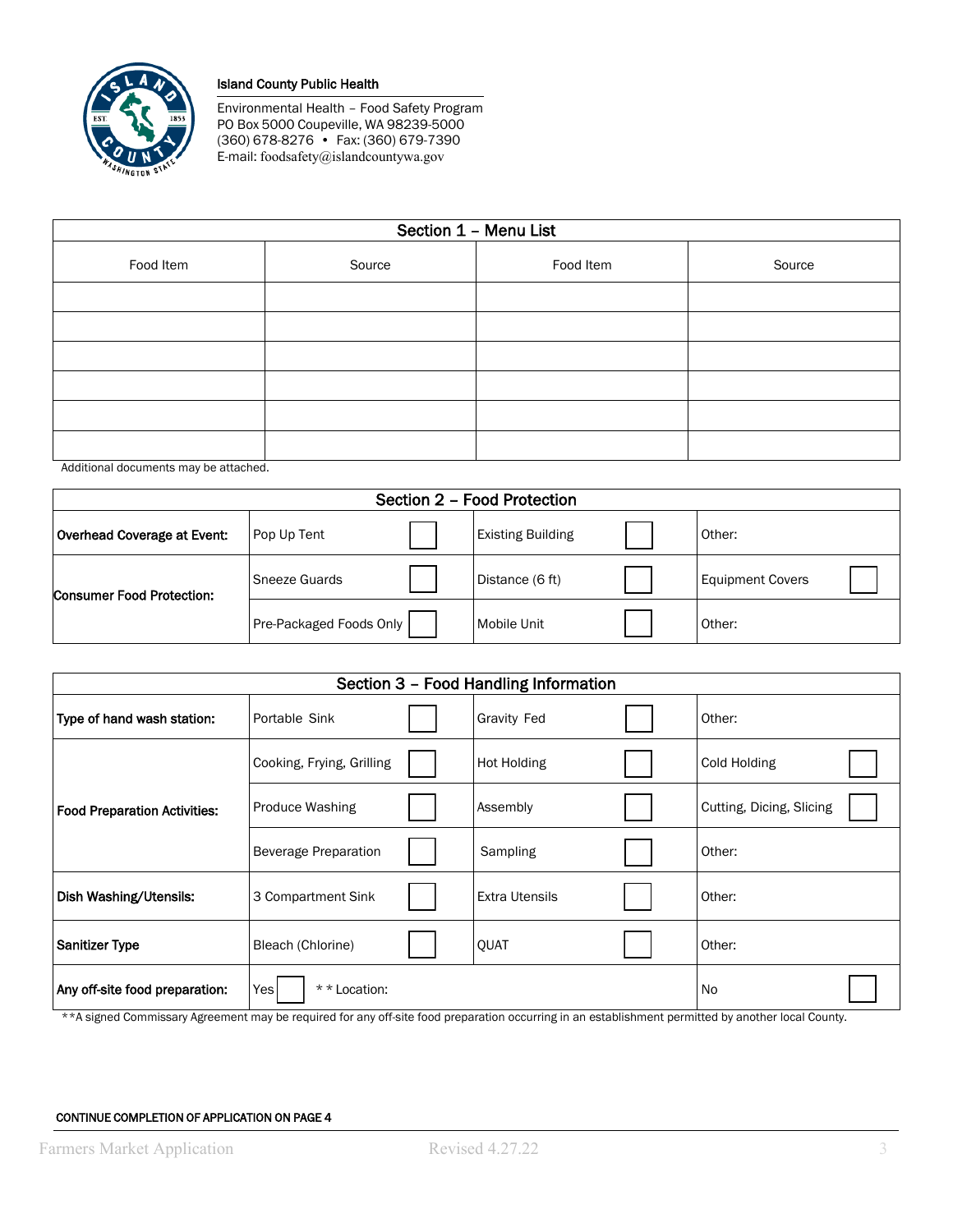

Environmental Health – Food Safety Program PO Box 5000 Coupeville, WA 98239-5000 (360) 678-8276 • Fax: (360) 679-7390 E-mail: foodsafety@islandcountywa.gov

| Section 1 - Menu List |        |           |        |  |
|-----------------------|--------|-----------|--------|--|
| Food Item             | Source | Food Item | Source |  |
|                       |        |           |        |  |
|                       |        |           |        |  |
|                       |        |           |        |  |
|                       |        |           |        |  |
|                       |        |           |        |  |
|                       |        |           |        |  |
| .                     |        |           |        |  |

Additional documents may be attached.

| Section 2 - Food Protection      |                         |  |                          |  |                         |
|----------------------------------|-------------------------|--|--------------------------|--|-------------------------|
| Overhead Coverage at Event:      | Pop Up Tent             |  | <b>Existing Building</b> |  | Other:                  |
| <b>Consumer Food Protection:</b> | Sneeze Guards           |  | Distance (6 ft)          |  | <b>Equipment Covers</b> |
|                                  | Pre-Packaged Foods Only |  | Mobile Unit              |  | Other:                  |

| Section 3 - Food Handling Information       |                           |                    |                       |        |                          |
|---------------------------------------------|---------------------------|--------------------|-----------------------|--------|--------------------------|
| Type of hand wash station:<br>Portable Sink |                           | <b>Gravity Fed</b> |                       | Other: |                          |
|                                             | Cooking, Frying, Grilling |                    | Hot Holding           |        | Cold Holding             |
| <b>Food Preparation Activities:</b>         | <b>Produce Washing</b>    |                    | Assembly              |        | Cutting, Dicing, Slicing |
|                                             | Beverage Preparation      |                    | Sampling              |        | Other:                   |
| Dish Washing/Utensils:                      | 3 Compartment Sink        |                    | <b>Extra Utensils</b> |        | Other:                   |
| <b>Sanitizer Type</b><br>Bleach (Chlorine)  |                           |                    | QUAT                  |        | Other:                   |
| Any off-site food preparation:              | Yesl<br>* * Location:     |                    | <b>No</b>             |        |                          |

\*\*A signed Commissary Agreement may be required for any off-site food preparation occurring in an establishment permitted by another local County.